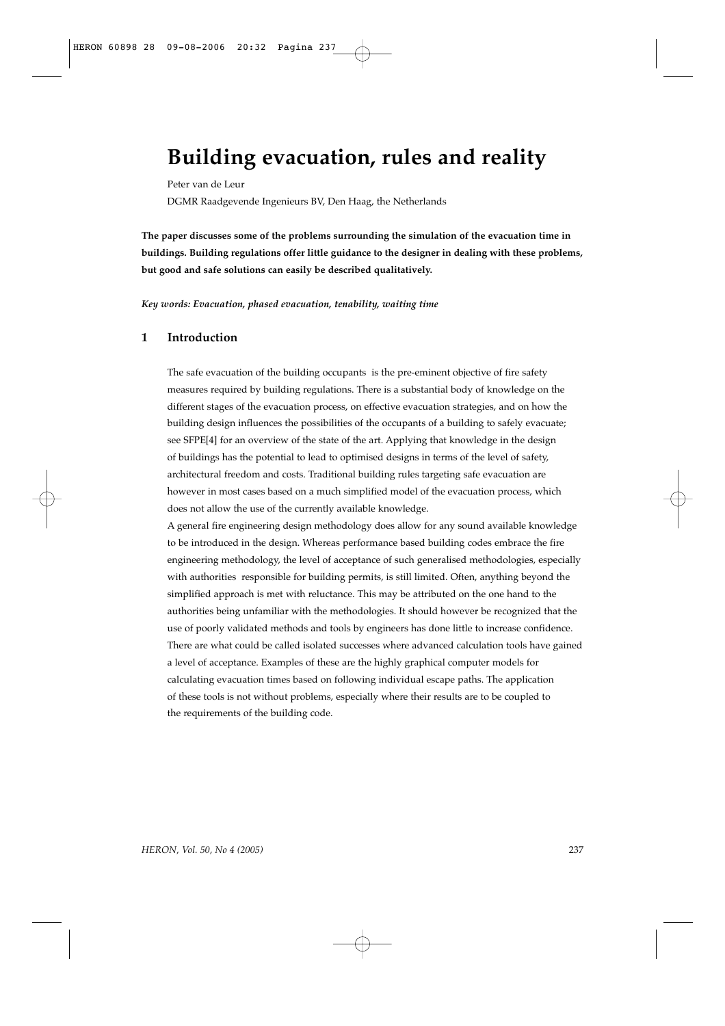# **Building evacuation, rules and reality**

Peter van de Leur DGMR Raadgevende Ingenieurs BV, Den Haag, the Netherlands

**The paper discusses some of the problems surrounding the simulation of the evacuation time in buildings. Building regulations offer little guidance to the designer in dealing with these problems, but good and safe solutions can easily be described qualitatively.** 

*Key words: Evacuation, phased evacuation, tenability, waiting time*

## **1 Introduction**

The safe evacuation of the building occupants is the pre-eminent objective of fire safety measures required by building regulations. There is a substantial body of knowledge on the different stages of the evacuation process, on effective evacuation strategies, and on how the building design influences the possibilities of the occupants of a building to safely evacuate; see SFPE[4] for an overview of the state of the art. Applying that knowledge in the design of buildings has the potential to lead to optimised designs in terms of the level of safety, architectural freedom and costs. Traditional building rules targeting safe evacuation are however in most cases based on a much simplified model of the evacuation process, which does not allow the use of the currently available knowledge.

A general fire engineering design methodology does allow for any sound available knowledge to be introduced in the design. Whereas performance based building codes embrace the fire engineering methodology, the level of acceptance of such generalised methodologies, especially with authorities responsible for building permits, is still limited. Often, anything beyond the simplified approach is met with reluctance. This may be attributed on the one hand to the authorities being unfamiliar with the methodologies. It should however be recognized that the use of poorly validated methods and tools by engineers has done little to increase confidence. There are what could be called isolated successes where advanced calculation tools have gained a level of acceptance. Examples of these are the highly graphical computer models for calculating evacuation times based on following individual escape paths. The application of these tools is not without problems, especially where their results are to be coupled to the requirements of the building code.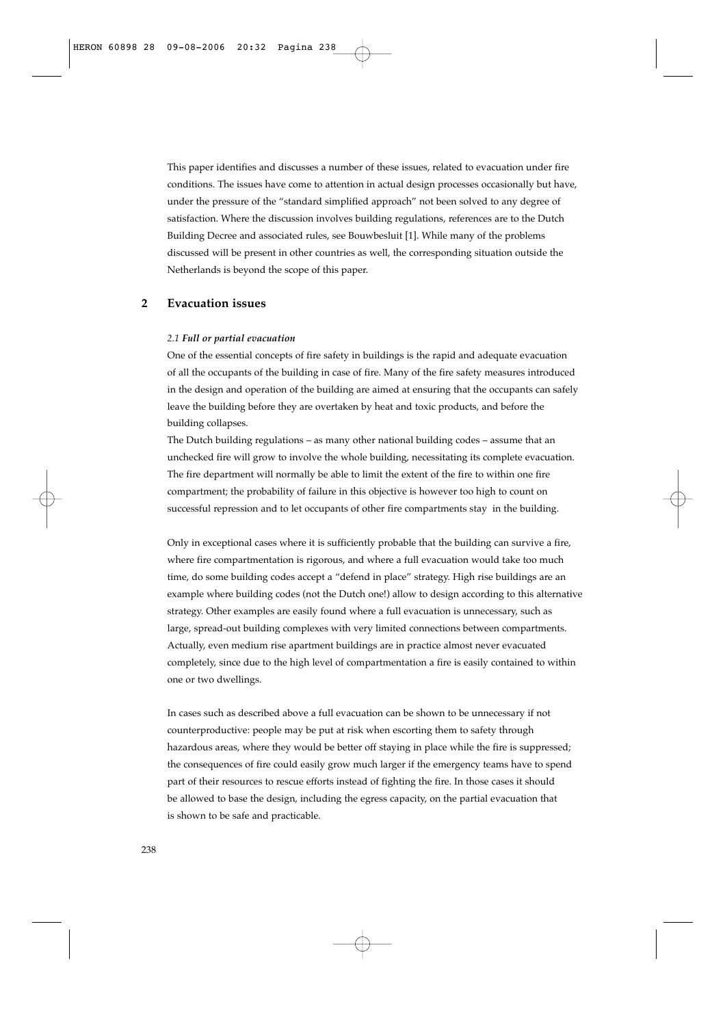This paper identifies and discusses a number of these issues, related to evacuation under fire conditions. The issues have come to attention in actual design processes occasionally but have, under the pressure of the "standard simplified approach" not been solved to any degree of satisfaction. Where the discussion involves building regulations, references are to the Dutch Building Decree and associated rules, see Bouwbesluit [1]. While many of the problems discussed will be present in other countries as well, the corresponding situation outside the Netherlands is beyond the scope of this paper.

# **2 Evacuation issues**

#### *2.1 Full or partial evacuation*

One of the essential concepts of fire safety in buildings is the rapid and adequate evacuation of all the occupants of the building in case of fire. Many of the fire safety measures introduced in the design and operation of the building are aimed at ensuring that the occupants can safely leave the building before they are overtaken by heat and toxic products, and before the building collapses.

The Dutch building regulations – as many other national building codes – assume that an unchecked fire will grow to involve the whole building, necessitating its complete evacuation. The fire department will normally be able to limit the extent of the fire to within one fire compartment; the probability of failure in this objective is however too high to count on successful repression and to let occupants of other fire compartments stay in the building.

Only in exceptional cases where it is sufficiently probable that the building can survive a fire, where fire compartmentation is rigorous, and where a full evacuation would take too much time, do some building codes accept a "defend in place" strategy. High rise buildings are an example where building codes (not the Dutch one!) allow to design according to this alternative strategy. Other examples are easily found where a full evacuation is unnecessary, such as large, spread-out building complexes with very limited connections between compartments. Actually, even medium rise apartment buildings are in practice almost never evacuated completely, since due to the high level of compartmentation a fire is easily contained to within one or two dwellings.

In cases such as described above a full evacuation can be shown to be unnecessary if not counterproductive: people may be put at risk when escorting them to safety through hazardous areas, where they would be better off staying in place while the fire is suppressed; the consequences of fire could easily grow much larger if the emergency teams have to spend part of their resources to rescue efforts instead of fighting the fire. In those cases it should be allowed to base the design, including the egress capacity, on the partial evacuation that is shown to be safe and practicable.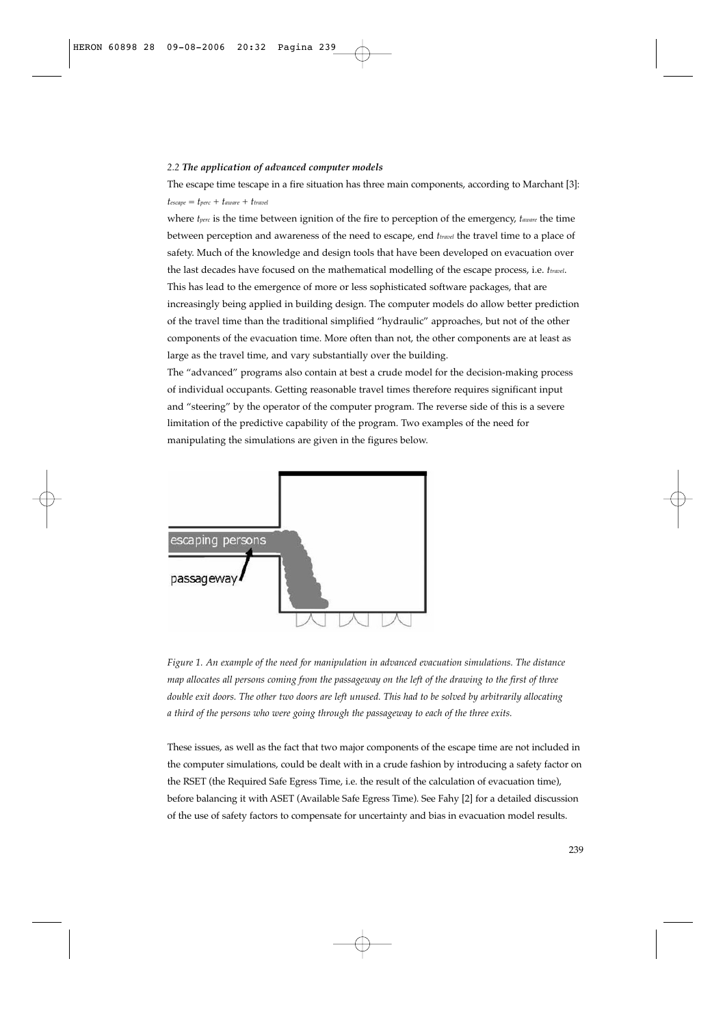#### *2.2 The application of advanced computer models*

The escape time tescape in a fire situation has three main components, according to Marchant [3]:  $t_{escape} = t_{perc} + t_{away} + t_{travel}$ 

where *tperc* is the time between ignition of the fire to perception of the emergency, *taware* the time between perception and awareness of the need to escape, end *ttravel* the travel time to a place of safety. Much of the knowledge and design tools that have been developed on evacuation over the last decades have focused on the mathematical modelling of the escape process, i.e. *ttravel*. This has lead to the emergence of more or less sophisticated software packages, that are increasingly being applied in building design. The computer models do allow better prediction of the travel time than the traditional simplified "hydraulic" approaches, but not of the other components of the evacuation time. More often than not, the other components are at least as large as the travel time, and vary substantially over the building.

The "advanced" programs also contain at best a crude model for the decision-making process of individual occupants. Getting reasonable travel times therefore requires significant input and "steering" by the operator of the computer program. The reverse side of this is a severe limitation of the predictive capability of the program. Two examples of the need for manipulating the simulations are given in the figures below.



*Figure 1. An example of the need for manipulation in advanced evacuation simulations. The distance map allocates all persons coming from the passageway on the left of the drawing to the first of three double exit doors. The other two doors are left unused. This had to be solved by arbitrarily allocating a third of the persons who were going through the passageway to each of the three exits.*

These issues, as well as the fact that two major components of the escape time are not included in the computer simulations, could be dealt with in a crude fashion by introducing a safety factor on the RSET (the Required Safe Egress Time, i.e. the result of the calculation of evacuation time), before balancing it with ASET (Available Safe Egress Time). See Fahy [2] for a detailed discussion of the use of safety factors to compensate for uncertainty and bias in evacuation model results.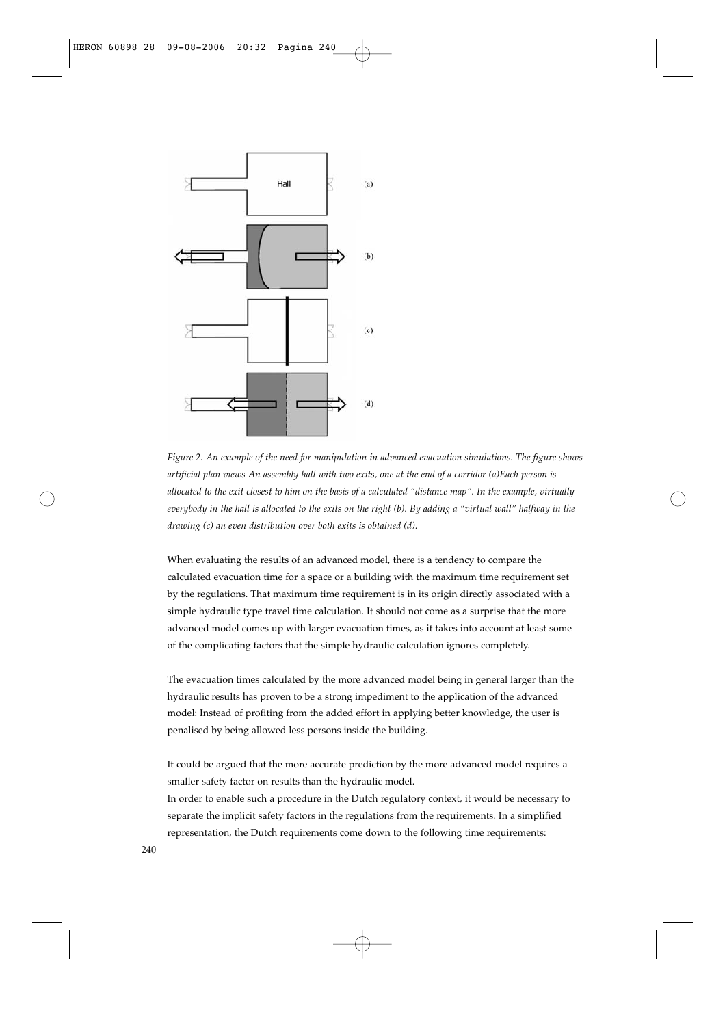

*Figure 2. An example of the need for manipulation in advanced evacuation simulations. The figure shows artificial plan views An assembly hall with two exits, one at the end of a corridor (a)Each person is allocated to the exit closest to him on the basis of a calculated "distance map". In the example, virtually everybody in the hall is allocated to the exits on the right (b). By adding a "virtual wall" halfway in the drawing (c) an even distribution over both exits is obtained (d).*

When evaluating the results of an advanced model, there is a tendency to compare the calculated evacuation time for a space or a building with the maximum time requirement set by the regulations. That maximum time requirement is in its origin directly associated with a simple hydraulic type travel time calculation. It should not come as a surprise that the more advanced model comes up with larger evacuation times, as it takes into account at least some of the complicating factors that the simple hydraulic calculation ignores completely.

The evacuation times calculated by the more advanced model being in general larger than the hydraulic results has proven to be a strong impediment to the application of the advanced model: Instead of profiting from the added effort in applying better knowledge, the user is penalised by being allowed less persons inside the building.

It could be argued that the more accurate prediction by the more advanced model requires a smaller safety factor on results than the hydraulic model.

In order to enable such a procedure in the Dutch regulatory context, it would be necessary to separate the implicit safety factors in the regulations from the requirements. In a simplified representation, the Dutch requirements come down to the following time requirements: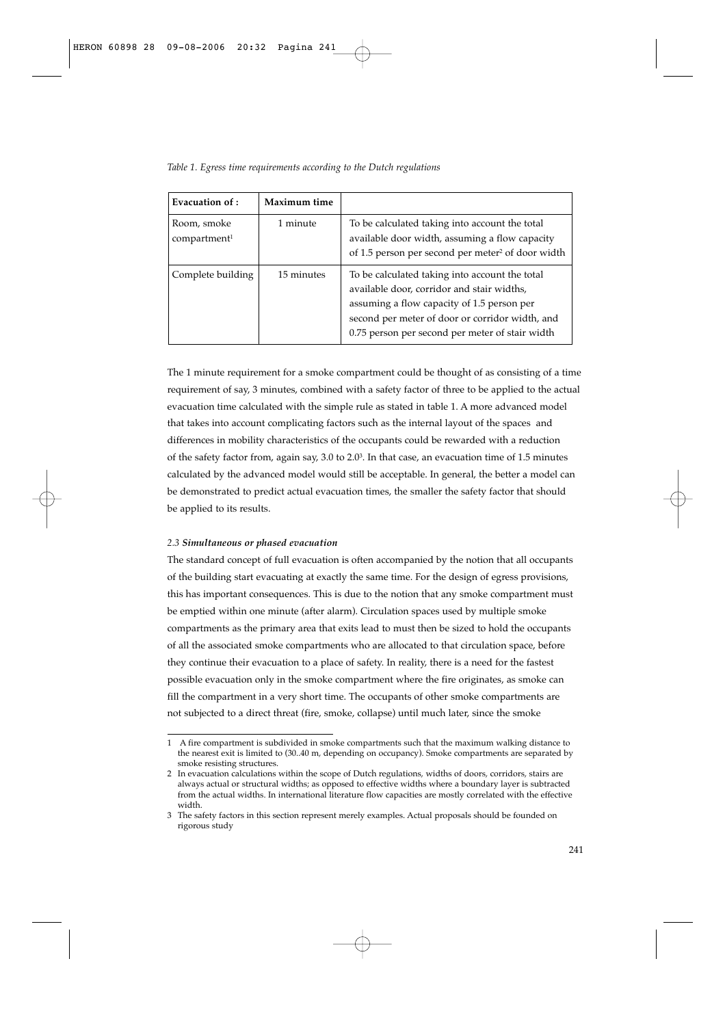| Table 1. Egress time requirements according to the Dutch regulations |  |  |  |  |  |  |  |
|----------------------------------------------------------------------|--|--|--|--|--|--|--|
|----------------------------------------------------------------------|--|--|--|--|--|--|--|

| Evacuation of :                         | Maximum time |                                                                                                                                                                                                                                                  |
|-----------------------------------------|--------------|--------------------------------------------------------------------------------------------------------------------------------------------------------------------------------------------------------------------------------------------------|
| Room, smoke<br>compartment <sup>1</sup> | 1 minute     | To be calculated taking into account the total<br>available door width, assuming a flow capacity<br>of 1.5 person per second per meter <sup>2</sup> of door width                                                                                |
| Complete building                       | 15 minutes   | To be calculated taking into account the total<br>available door, corridor and stair widths,<br>assuming a flow capacity of 1.5 person per<br>second per meter of door or corridor width, and<br>0.75 person per second per meter of stair width |

The 1 minute requirement for a smoke compartment could be thought of as consisting of a time requirement of say, 3 minutes, combined with a safety factor of three to be applied to the actual evacuation time calculated with the simple rule as stated in table 1. A more advanced model that takes into account complicating factors such as the internal layout of the spaces and differences in mobility characteristics of the occupants could be rewarded with a reduction of the safety factor from, again say, 3.0 to 2.03. In that case, an evacuation time of 1.5 minutes calculated by the advanced model would still be acceptable. In general, the better a model can be demonstrated to predict actual evacuation times, the smaller the safety factor that should be applied to its results.

## *2.3 Simultaneous or phased evacuation*

The standard concept of full evacuation is often accompanied by the notion that all occupants of the building start evacuating at exactly the same time. For the design of egress provisions, this has important consequences. This is due to the notion that any smoke compartment must be emptied within one minute (after alarm). Circulation spaces used by multiple smoke compartments as the primary area that exits lead to must then be sized to hold the occupants of all the associated smoke compartments who are allocated to that circulation space, before they continue their evacuation to a place of safety. In reality, there is a need for the fastest possible evacuation only in the smoke compartment where the fire originates, as smoke can fill the compartment in a very short time. The occupants of other smoke compartments are not subjected to a direct threat (fire, smoke, collapse) until much later, since the smoke

<sup>1</sup> A fire compartment is subdivided in smoke compartments such that the maximum walking distance to the nearest exit is limited to (30..40 m, depending on occupancy). Smoke compartments are separated by smoke resisting structures.

<sup>2</sup> In evacuation calculations within the scope of Dutch regulations, widths of doors, corridors, stairs are always actual or structural widths; as opposed to effective widths where a boundary layer is subtracted from the actual widths. In international literature flow capacities are mostly correlated with the effective width.

<sup>3</sup> The safety factors in this section represent merely examples. Actual proposals should be founded on rigorous study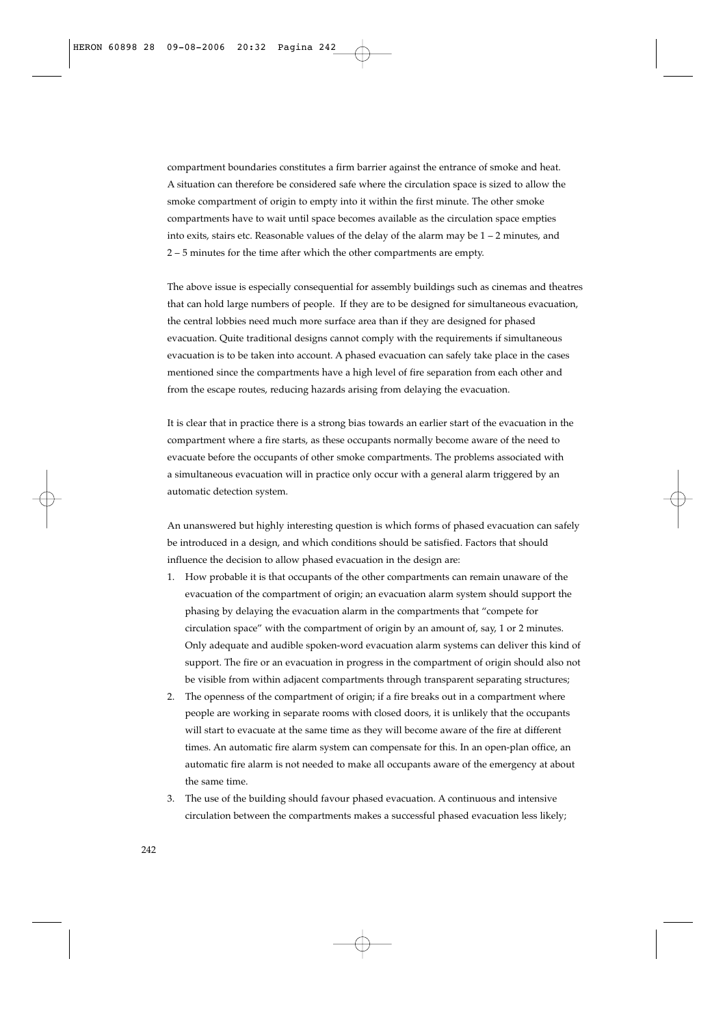compartment boundaries constitutes a firm barrier against the entrance of smoke and heat. A situation can therefore be considered safe where the circulation space is sized to allow the smoke compartment of origin to empty into it within the first minute. The other smoke compartments have to wait until space becomes available as the circulation space empties into exits, stairs etc. Reasonable values of the delay of the alarm may be  $1 - 2$  minutes, and 2 – 5 minutes for the time after which the other compartments are empty.

The above issue is especially consequential for assembly buildings such as cinemas and theatres that can hold large numbers of people. If they are to be designed for simultaneous evacuation, the central lobbies need much more surface area than if they are designed for phased evacuation. Quite traditional designs cannot comply with the requirements if simultaneous evacuation is to be taken into account. A phased evacuation can safely take place in the cases mentioned since the compartments have a high level of fire separation from each other and from the escape routes, reducing hazards arising from delaying the evacuation.

It is clear that in practice there is a strong bias towards an earlier start of the evacuation in the compartment where a fire starts, as these occupants normally become aware of the need to evacuate before the occupants of other smoke compartments. The problems associated with a simultaneous evacuation will in practice only occur with a general alarm triggered by an automatic detection system.

An unanswered but highly interesting question is which forms of phased evacuation can safely be introduced in a design, and which conditions should be satisfied. Factors that should influence the decision to allow phased evacuation in the design are:

- 1. How probable it is that occupants of the other compartments can remain unaware of the evacuation of the compartment of origin; an evacuation alarm system should support the phasing by delaying the evacuation alarm in the compartments that "compete for circulation space" with the compartment of origin by an amount of, say, 1 or 2 minutes. Only adequate and audible spoken-word evacuation alarm systems can deliver this kind of support. The fire or an evacuation in progress in the compartment of origin should also not be visible from within adjacent compartments through transparent separating structures;
- 2. The openness of the compartment of origin; if a fire breaks out in a compartment where people are working in separate rooms with closed doors, it is unlikely that the occupants will start to evacuate at the same time as they will become aware of the fire at different times. An automatic fire alarm system can compensate for this. In an open-plan office, an automatic fire alarm is not needed to make all occupants aware of the emergency at about the same time.
- 3. The use of the building should favour phased evacuation. A continuous and intensive circulation between the compartments makes a successful phased evacuation less likely;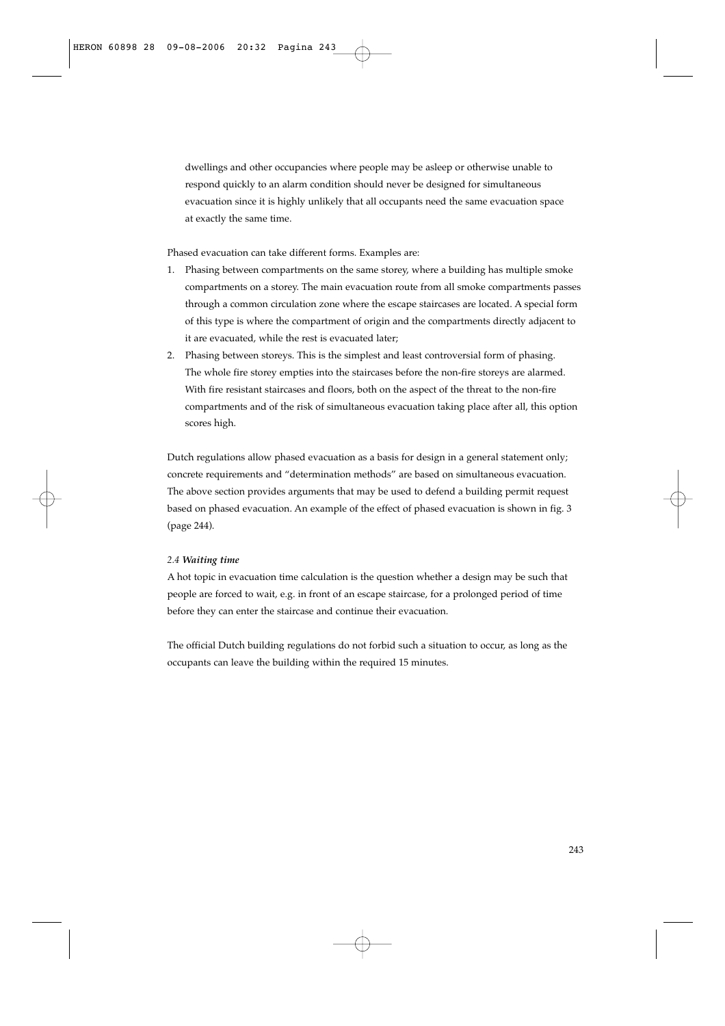dwellings and other occupancies where people may be asleep or otherwise unable to respond quickly to an alarm condition should never be designed for simultaneous evacuation since it is highly unlikely that all occupants need the same evacuation space at exactly the same time.

Phased evacuation can take different forms. Examples are:

- 1. Phasing between compartments on the same storey, where a building has multiple smoke compartments on a storey. The main evacuation route from all smoke compartments passes through a common circulation zone where the escape staircases are located. A special form of this type is where the compartment of origin and the compartments directly adjacent to it are evacuated, while the rest is evacuated later;
- 2. Phasing between storeys. This is the simplest and least controversial form of phasing. The whole fire storey empties into the staircases before the non-fire storeys are alarmed. With fire resistant staircases and floors, both on the aspect of the threat to the non-fire compartments and of the risk of simultaneous evacuation taking place after all, this option scores high.

Dutch regulations allow phased evacuation as a basis for design in a general statement only; concrete requirements and "determination methods" are based on simultaneous evacuation. The above section provides arguments that may be used to defend a building permit request based on phased evacuation. An example of the effect of phased evacuation is shown in fig. 3 (page 244).

## *2.4 Waiting time*

A hot topic in evacuation time calculation is the question whether a design may be such that people are forced to wait, e.g. in front of an escape staircase, for a prolonged period of time before they can enter the staircase and continue their evacuation.

The official Dutch building regulations do not forbid such a situation to occur, as long as the occupants can leave the building within the required 15 minutes.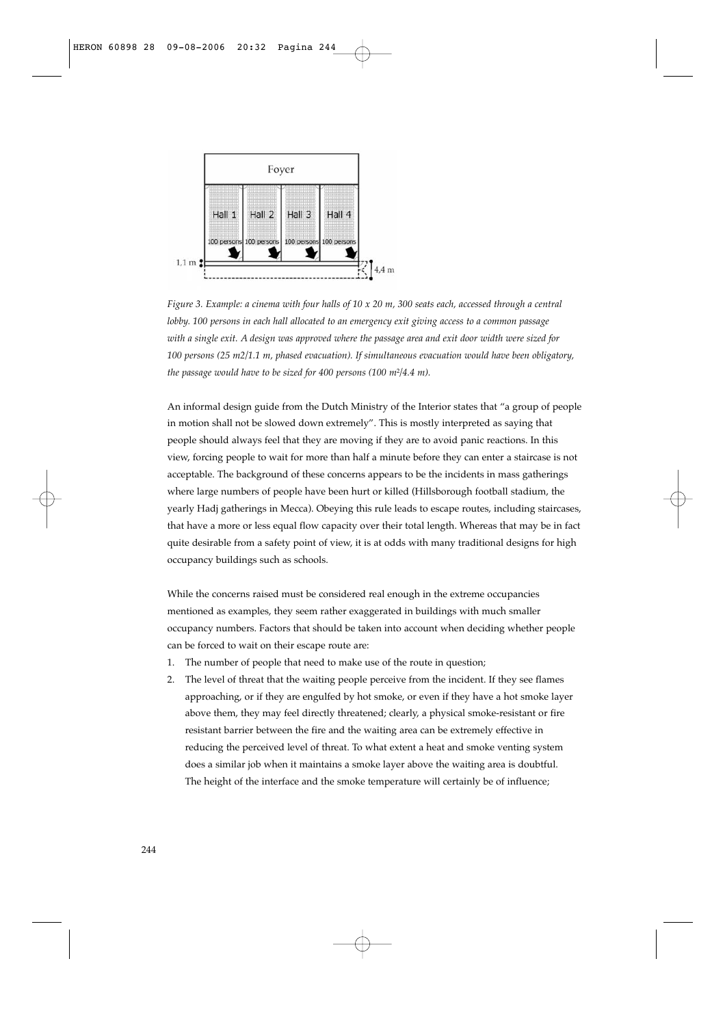

*Figure 3. Example: a cinema with four halls of 10 x 20 m, 300 seats each, accessed through a central lobby. 100 persons in each hall allocated to an emergency exit giving access to a common passage with a single exit. A design was approved where the passage area and exit door width were sized for 100 persons (25 m2/1.1 m, phased evacuation). If simultaneous evacuation would have been obligatory, the passage would have to be sized for 400 persons (100 m*2*/4.4 m).*

An informal design guide from the Dutch Ministry of the Interior states that "a group of people in motion shall not be slowed down extremely". This is mostly interpreted as saying that people should always feel that they are moving if they are to avoid panic reactions. In this view, forcing people to wait for more than half a minute before they can enter a staircase is not acceptable. The background of these concerns appears to be the incidents in mass gatherings where large numbers of people have been hurt or killed (Hillsborough football stadium, the yearly Hadj gatherings in Mecca). Obeying this rule leads to escape routes, including staircases, that have a more or less equal flow capacity over their total length. Whereas that may be in fact quite desirable from a safety point of view, it is at odds with many traditional designs for high occupancy buildings such as schools.

While the concerns raised must be considered real enough in the extreme occupancies mentioned as examples, they seem rather exaggerated in buildings with much smaller occupancy numbers. Factors that should be taken into account when deciding whether people can be forced to wait on their escape route are:

- 1. The number of people that need to make use of the route in question;
- 2. The level of threat that the waiting people perceive from the incident. If they see flames approaching, or if they are engulfed by hot smoke, or even if they have a hot smoke layer above them, they may feel directly threatened; clearly, a physical smoke-resistant or fire resistant barrier between the fire and the waiting area can be extremely effective in reducing the perceived level of threat. To what extent a heat and smoke venting system does a similar job when it maintains a smoke layer above the waiting area is doubtful. The height of the interface and the smoke temperature will certainly be of influence;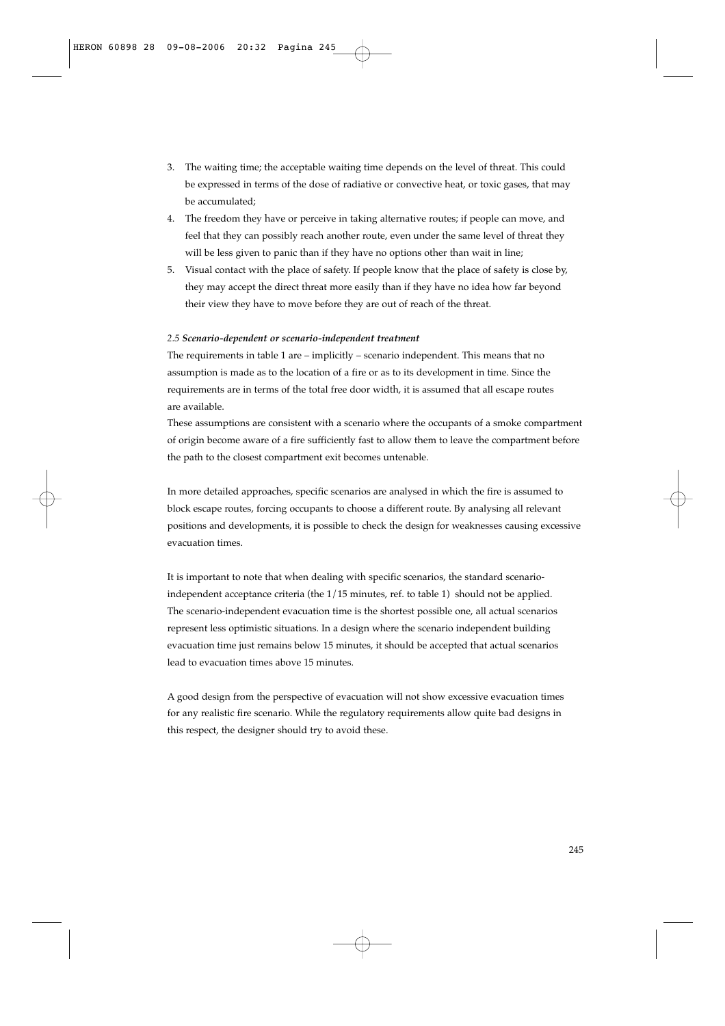- 3. The waiting time; the acceptable waiting time depends on the level of threat. This could be expressed in terms of the dose of radiative or convective heat, or toxic gases, that may be accumulated;
- 4. The freedom they have or perceive in taking alternative routes; if people can move, and feel that they can possibly reach another route, even under the same level of threat they will be less given to panic than if they have no options other than wait in line;
- 5. Visual contact with the place of safety. If people know that the place of safety is close by, they may accept the direct threat more easily than if they have no idea how far beyond their view they have to move before they are out of reach of the threat.

## *2.5 Scenario-dependent or scenario-independent treatment*

The requirements in table 1 are – implicitly – scenario independent. This means that no assumption is made as to the location of a fire or as to its development in time. Since the requirements are in terms of the total free door width, it is assumed that all escape routes are available.

These assumptions are consistent with a scenario where the occupants of a smoke compartment of origin become aware of a fire sufficiently fast to allow them to leave the compartment before the path to the closest compartment exit becomes untenable.

In more detailed approaches, specific scenarios are analysed in which the fire is assumed to block escape routes, forcing occupants to choose a different route. By analysing all relevant positions and developments, it is possible to check the design for weaknesses causing excessive evacuation times.

It is important to note that when dealing with specific scenarios, the standard scenarioindependent acceptance criteria (the 1/15 minutes, ref. to table 1) should not be applied. The scenario-independent evacuation time is the shortest possible one, all actual scenarios represent less optimistic situations. In a design where the scenario independent building evacuation time just remains below 15 minutes, it should be accepted that actual scenarios lead to evacuation times above 15 minutes.

A good design from the perspective of evacuation will not show excessive evacuation times for any realistic fire scenario. While the regulatory requirements allow quite bad designs in this respect, the designer should try to avoid these.